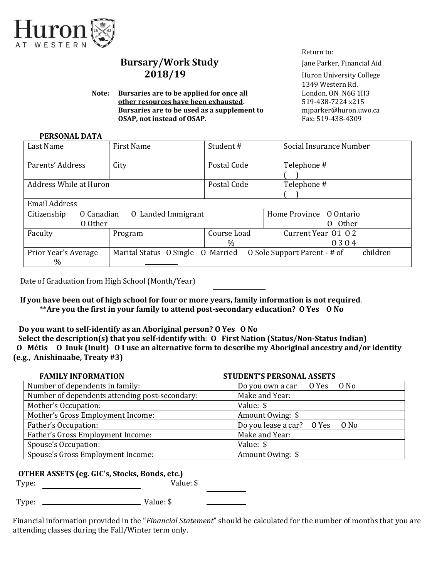

# **Bursary/Work Study** Jane Parker, Financial Aid 2018/19 Huron University College

**Note: Bursaries are to be applied for <u>once all</u> London, ON N6G 1H3 other resources have been exhausted.** 519-438-7224 x215 **Bursaries are to be used as a supplement to miparker@huron.uwo.ca OSAP, not instead of OSAP.** Fax: 519-438-4309

Return to:

1349 Western Rd.

#### **PERSONAL DATA**

| Last Name                            | <b>First Name</b>                                                 | Student#                                          | Social Insurance Number |  |  |  |  |
|--------------------------------------|-------------------------------------------------------------------|---------------------------------------------------|-------------------------|--|--|--|--|
| Parents' Address                     | City                                                              | Telephone #<br>Postal Code                        |                         |  |  |  |  |
| Address While at Huron               |                                                                   | Postal Code                                       | Telephone #             |  |  |  |  |
| Email Address                        |                                                                   |                                                   |                         |  |  |  |  |
| O Canadian<br>Citizenship<br>0 Other | 0 Landed Immigrant                                                | Home Province 0 Ontario<br>0 Other                |                         |  |  |  |  |
| Faculty                              | Program                                                           | Current Year 01 02<br>Course Load<br>$\%$<br>0304 |                         |  |  |  |  |
| Prior Year's Average<br>$\%$         | O Sole Support Parent - # of<br>Marital Status O Single O Married |                                                   | children                |  |  |  |  |

Date of Graduation from High School (Month/Year)

 **If you have been out of high school for four or more years, family information is not required**. **\*\*Are you the first in your family to attend post-secondary education? O Yes O No** 

**Do you want to self-identify as an Aboriginal person? O Yes O No** 

 **Select the description(s) that you self-identify with**: **O First Nation (Status/Non-Status Indian) O Métis O Inuk (Inuit) O I use an alternative form to describe my Aboriginal ancestry and/or identity (e.g., Anishinaabe, Treaty #3)**

| <b>FAMILY INFORMATION</b>                      | <b>STUDENT'S PERSONAL ASSETS</b> |  |  |
|------------------------------------------------|----------------------------------|--|--|
| Number of dependents in family:                | Do you own a car O Yes O No      |  |  |
| Number of dependents attending post-secondary: | Make and Year:                   |  |  |
| Mother's Occupation:                           | Value: \$                        |  |  |
| Mother's Gross Employment Income:              | Amount Owing: \$                 |  |  |
| Father's Occupation:                           | Do you lease a car? O Yes O No   |  |  |
| Father's Gross Employment Income:              | Make and Year:                   |  |  |
| Spouse's Occupation:                           | Value: \$                        |  |  |
| Spouse's Gross Employment Income:              | Amount Owing: \$                 |  |  |

## **OTHER ASSETS (eg. GIC's, Stocks, Bonds, etc.)**

Type: Value: \$

Type: Value: \$

Financial information provided in the "*Financial Statement*" should be calculated for the number of months that you are attending classes during the Fall/Winter term only.